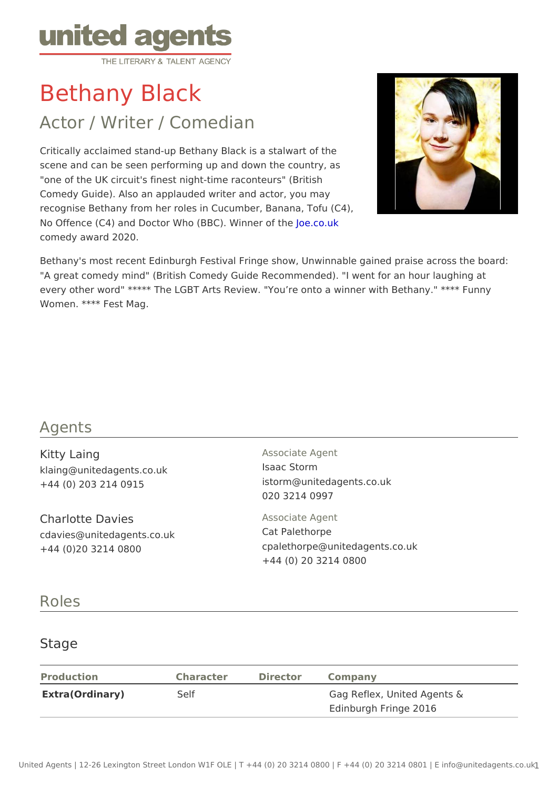# Bethany Black

## Actor / Writer / Comedian

Critically acclaimed stand-up Bethany Black is a stalwart of the scene and can be seen performing up and down the country, as "one of the UK circuit's finest night-time raconteurs" (British Comedy Guide). Also an applauded writer and actor, you may recognise Bethany from her roles in Cucumber, Banana, Tofu (C4), No Offence (C4) and Doctor Who (BBC). O Winner who f the comedy award 2020.

Bethany's most recent Edinburgh Festival Fringe show, Unwinnable gained pr "A great comedy mind" (British Comedy Guide Recommended). "I went for an every other word" \*\*\*\*\* The LGBT Arts Review. "You re onto a winner with Be Women. \*\*\*\* Fest Mag.

#### Agents

| Kitty Laing<br>klaing@unitedagents.co.uk<br>$+44$ (0) 203 214 0915    | Associate Agent<br>Isaac Storm<br>istorm@unitedagents.co.uk<br>020 3214 0997                |
|-----------------------------------------------------------------------|---------------------------------------------------------------------------------------------|
| Charlotte Davies<br>cdavies@unitedagents.co.uk<br>+44 (0)20 3214 0800 | Associate Agent<br>Cat Palethorpe<br>cpalethorpe@unitedagents.co.uk<br>+44 (0) 20 3214 0800 |

#### Roles

#### **Stage**

| Production      | Character | Director Company |                             |  |
|-----------------|-----------|------------------|-----------------------------|--|
| Extra(Ordinary) | Self      |                  | Gag Reflex, United Agents & |  |
|                 |           |                  | Edinburgh Fringe 2016       |  |